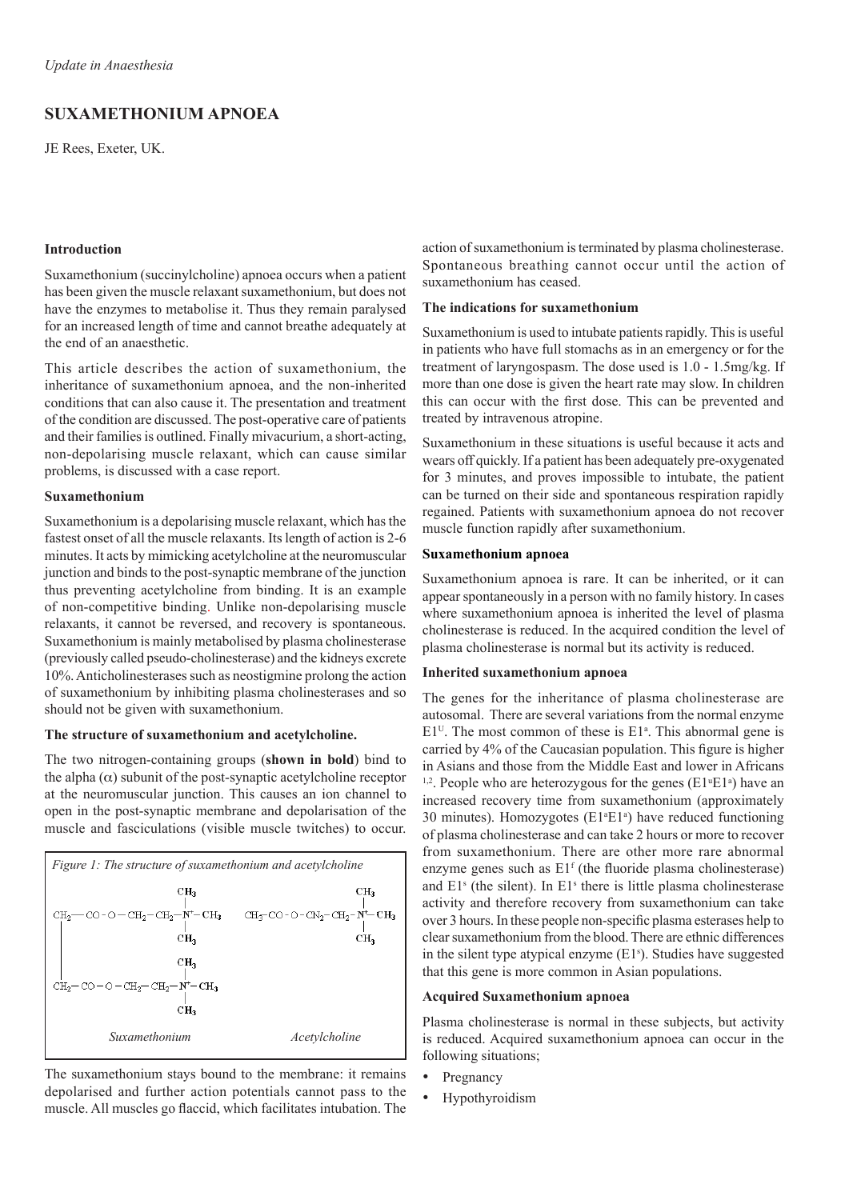# **Suxamethonium Apnoea**

JE Rees, Exeter, UK.

# **Introduction**

Suxamethonium (succinylcholine) apnoea occurs when a patient has been given the muscle relaxant suxamethonium, but does not have the enzymes to metabolise it. Thus they remain paralysed for an increased length of time and cannot breathe adequately at the end of an anaesthetic.

This article describes the action of suxamethonium, the inheritance of suxamethonium apnoea, and the non-inherited conditions that can also cause it. The presentation and treatment of the condition are discussed. The post-operative care of patients and their families is outlined. Finally mivacurium, a short-acting, non-depolarising muscle relaxant, which can cause similar problems, is discussed with a case report.

# **Suxamethonium**

Suxamethonium is a depolarising muscle relaxant, which has the fastest onset of all the muscle relaxants. Its length of action is 2-6 minutes. It acts by mimicking acetylcholine at the neuromuscular junction and binds to the post-synaptic membrane of the junction thus preventing acetylcholine from binding. It is an example of non-competitive binding. Unlike non-depolarising muscle relaxants, it cannot be reversed, and recovery is spontaneous. Suxamethonium is mainly metabolised by plasma cholinesterase (previously called pseudo-cholinesterase) and the kidneys excrete 10%. Anticholinesterases such as neostigmine prolong the action of suxamethonium by inhibiting plasma cholinesterases and so should not be given with suxamethonium.

#### **The structure of suxamethonium and acetylcholine.**

The two nitrogen-containing groups (**shown in bold**) bind to the alpha  $(\alpha)$  subunit of the post-synaptic acetylcholine receptor at the neuromuscular junction. This causes an ion channel to open in the post-synaptic membrane and depolarisation of the muscle and fasciculations (visible muscle twitches) to occur.

| <i>Figure 1: The structure of suxamethonium and acetylcholine</i>                                                                                     |                                                                                                       |
|-------------------------------------------------------------------------------------------------------------------------------------------------------|-------------------------------------------------------------------------------------------------------|
| CН <sub>3</sub>                                                                                                                                       | CH <sub>3</sub>                                                                                       |
| $CH_2$ — CO - O — CH <sub>2</sub> — CH <sub>2</sub> — $N$ — CH <sub>3</sub><br>CH <sub>2</sub>                                                        | $CH_7$ <sup>-</sup> CO - O - CN <sub>2</sub> -CH <sub>2</sub> -N <sup>+</sup> -CH <sub>3</sub><br>CН, |
| CН,<br>$\mathrm{CH_{2}\hspace{-1.5pt}-\hspace{-1.5pt}CO\hspace{-1.5pt}-O-CH_{2}\hspace{-1.5pt}-CH_{2}\hspace{-1.5pt}-H\hspace{-1.5pt}-CH_{3}}$<br>CН, |                                                                                                       |
| Suxamethonium                                                                                                                                         | Acetylcholine                                                                                         |

The suxamethonium stays bound to the membrane: it remains depolarised and further action potentials cannot pass to the muscle. All muscles go flaccid, which facilitates intubation. The action of suxamethonium is terminated by plasma cholinesterase. Spontaneous breathing cannot occur until the action of suxamethonium has ceased.

### **The indications for suxamethonium**

Suxamethonium is used to intubate patients rapidly. This is useful in patients who have full stomachs as in an emergency or for the treatment of laryngospasm. The dose used is 1.0 - 1.5mg/kg. If more than one dose is given the heart rate may slow. In children this can occur with the first dose. This can be prevented and treated by intravenous atropine.

Suxamethonium in these situations is useful because it acts and wears off quickly. If a patient has been adequately pre-oxygenated for 3 minutes, and proves impossible to intubate, the patient can be turned on their side and spontaneous respiration rapidly regained. Patients with suxamethonium apnoea do not recover muscle function rapidly after suxamethonium.

### **Suxamethonium apnoea**

Suxamethonium apnoea is rare. It can be inherited, or it can appear spontaneously in a person with no family history. In cases where suxamethonium apnoea is inherited the level of plasma cholinesterase is reduced. In the acquired condition the level of plasma cholinesterase is normal but its activity is reduced.

### **Inherited suxamethonium apnoea**

The genes for the inheritance of plasma cholinesterase are autosomal. There are several variations from the normal enzyme  $E1<sup>U</sup>$ . The most common of these is  $E1<sup>a</sup>$ . This abnormal gene is carried by 4% of the Caucasian population. This figure is higher in Asians and those from the Middle East and lower in Africans <sup>1,2</sup>. People who are heterozygous for the genes ( $E1^{\mu}E1^{\alpha}$ ) have an increased recovery time from suxamethonium (approximately 30 minutes). Homozygotes ( $E1^aE1^a$ ) have reduced functioning of plasma cholinesterase and can take 2 hours or more to recover from suxamethonium. There are other more rare abnormal enzyme genes such as E1<sup>f</sup> (the fluoride plasma cholinesterase) and  $E1<sup>s</sup>$  (the silent). In  $E1<sup>s</sup>$  there is little plasma cholinesterase activity and therefore recovery from suxamethonium can take over 3 hours. In these people non-specific plasma esterases help to clear suxamethonium from the blood. There are ethnic differences in the silent type atypical enzyme  $(E1<sup>s</sup>)$ . Studies have suggested that this gene is more common in Asian populations.

# **Acquired Suxamethonium apnoea**

Plasma cholinesterase is normal in these subjects, but activity is reduced. Acquired suxamethonium apnoea can occur in the following situations;

- **Pregnancy**
- **Hypothyroidism**